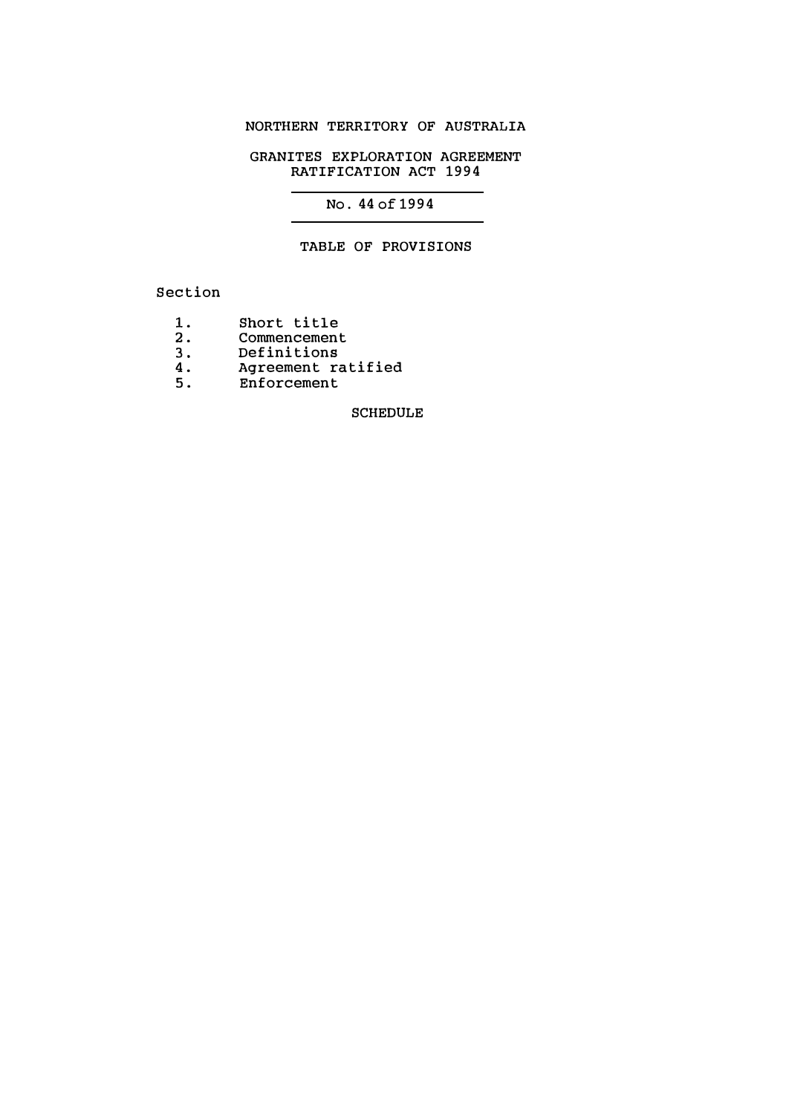#### NORTHERN TERRITORY OF AUSTRALIA

GRANITES EXPLORATION AGREEMENT RATIFICATION ACT 1994

#### N**o**. 44 **of** 1994

#### TABLE OF PROVISIONS

## Section

- 1. Short title<br>2. Commencement
- 2. Commencement<br>3. Definitions
- 3. Definitions
- 4. Agreement ratified
- 5. Enforcement

SCHEDULE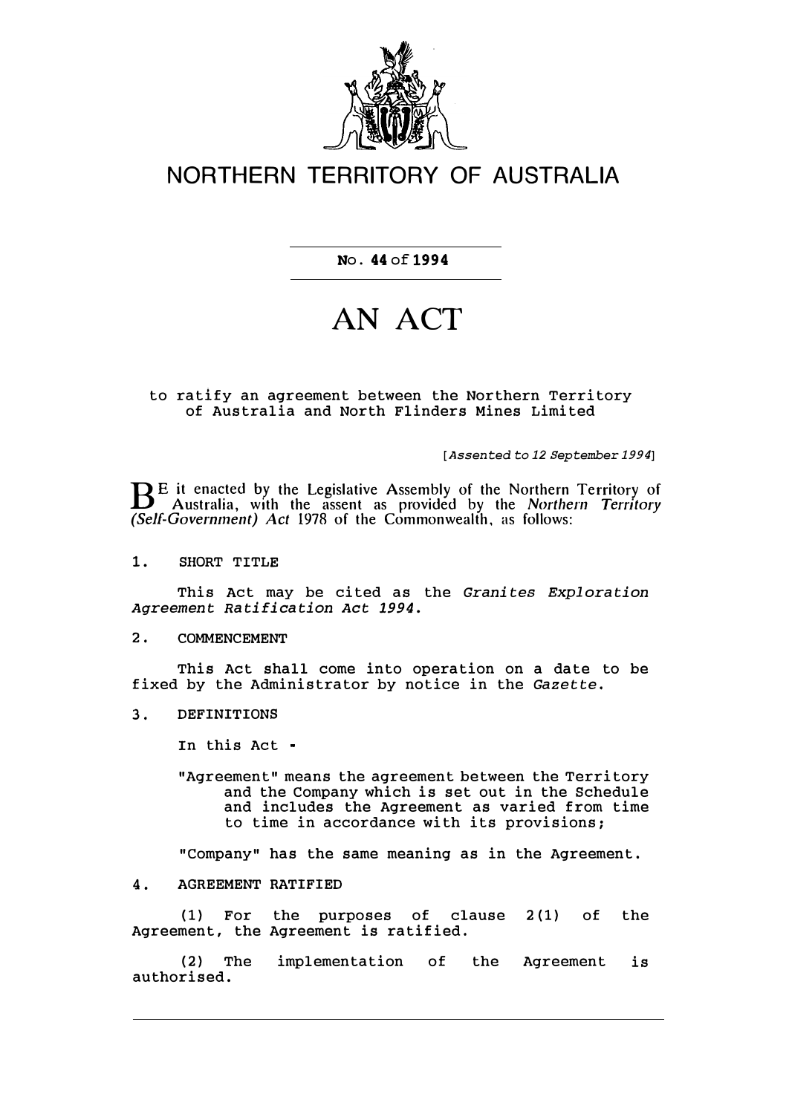

## **NORTHERN TERRITORY OF AUSTRALIA**

N**o.** 44 **of** 1994

# **AN ACT**

#### to ratify an agreement between the Northern Territory of Australia and North Flinders Mines Limited

**[**A*ssented to* <sup>1</sup>*2* S*eptember* <sup>1994</sup>**]**

**BE** it enacted by the Legislative Assembly of the Northern Territory of Australia, with the assent as provided by the Northern Territory Australia, with the assent as provided by the *Northern Territory (Self-Government) Act* 1978 of the Commonwealth, as follows:

1. SHORT TITLE

This Act may be cited as the *Granites Exploration Agreement Ratification Act 1994.* 

**2 . COMMENCEMENT** 

This Act shall come into operation on a date to be fixed by the Administrator by notice in the *Gazette.* 

**3 . DEFINITIONS** 

In this Act

"Agreement" means the agreement between the Territory and the Company which is set out in the Schedule and includes the Agreement as varied from time to time in accordance with its provisions;

"Company" has the same meaning as in the Agreement.

#### **4. AGREEMENT RATIFIED**

(1) For the purposes of clause 2(1) of the Agreement, the Agreement is ratified.

(2) The implementation of authorised. Agreement is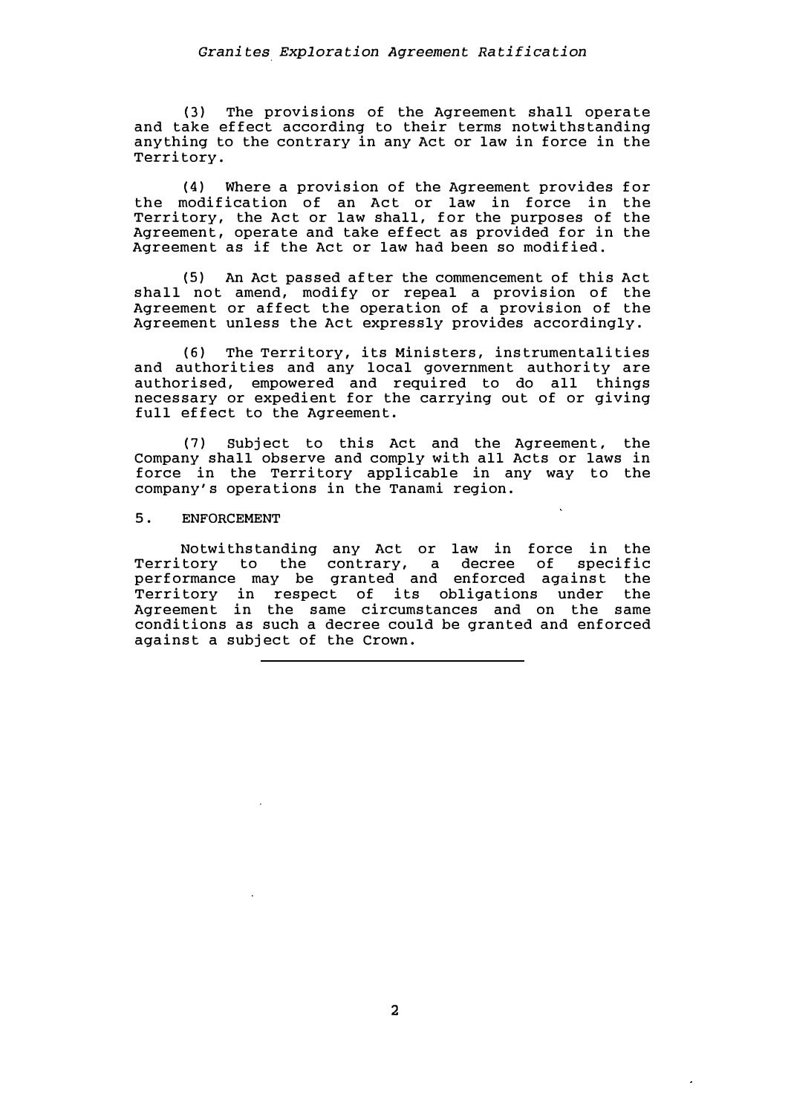(3) The provisions of the Agreement shall operate and take effect according to their terms notwithstanding anything to the contrary in any Act or law in force in the Territory.

(4) Where a provision of the Agreement provides for the modification of an Act or law in force in the Territory, the Act or law shall, for the purposes of the Agreement, operate and take effect as provided for in the Agreement as if the Act or law had been so modified.

(5) An Act passed after the commencement of this Act shall not amend, modify or repeal a provision of the Agreement or affect the operation of a provision of the Agreement unless the Act expressly provides accordingly.

(6) The Territory, its Ministers, instrumentalities and authorities and any local government authority are authorised, empowered and required to do all things necessary or expedient for the carrying out of or giving full effect to the Agreement.

( 7) Subject to this Act and the Agreement, the Company shall observe and comply with all Acts or laws in force in the Territory applicable in any way to the company's operations in the Tanami region.

#### 5 . ENFORCEMENT

Notwithstanding any Act or law in force in the Territory to the contrary, a decree of specific performance may be granted and enforced against the Territory in respect of its obligations under the Agreement in the same circumstances and on the same conditions as such a decree could be granted and enforced against a subject of the Crown.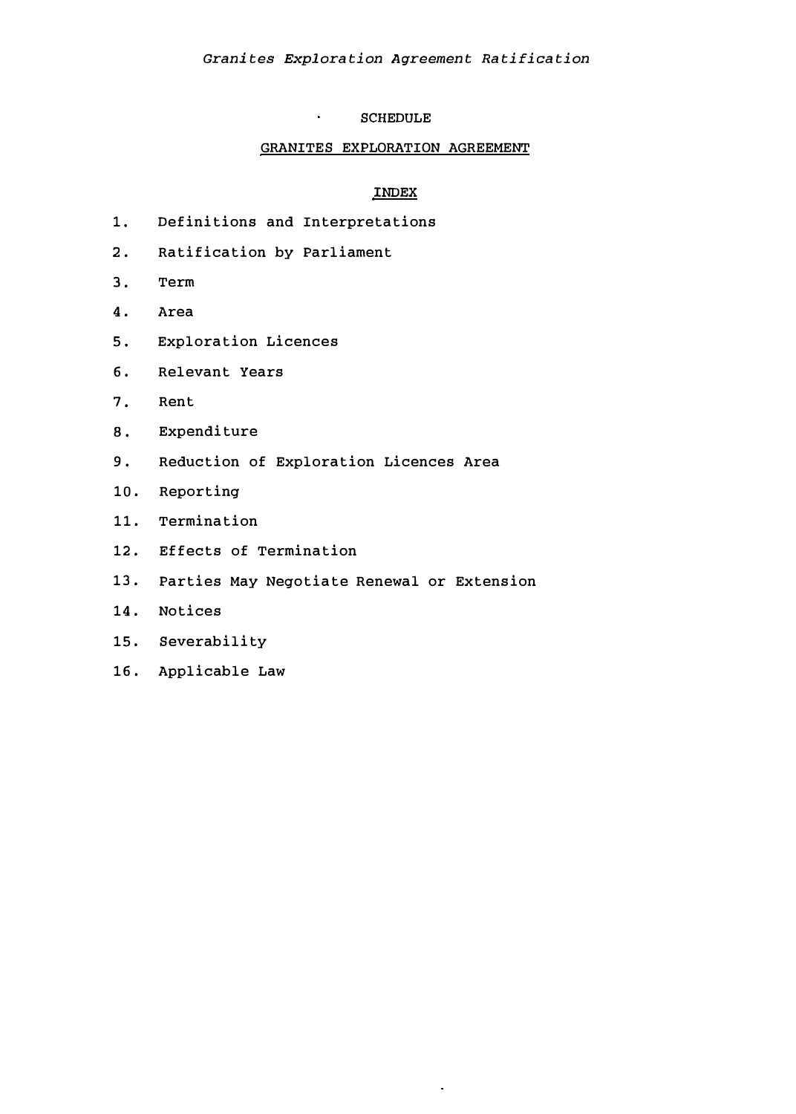#### SCHEDULE

 $\mathbf{r} = \mathbf{r}$ 

#### GRANITES EXPLORATION AGREEMENT

#### **INDEX**

- 1, Definitions and Interpretations
- 2. Ratification by Parliament
- 3. Term
- 4. Area
- 5, Exploration Licences
- 6. Relevant Years
- 7. Rent
- 8. Expenditure
- 9. Reduction of Exploration Licences Area
- 10. Reporting
- 11. Termination
- 12. Effects of Termination
- 13. Parties May Negotiate Renewal or Extension

 $\bullet$ 

- 14. Notices
- 15. Severability
- 16. Applicable Law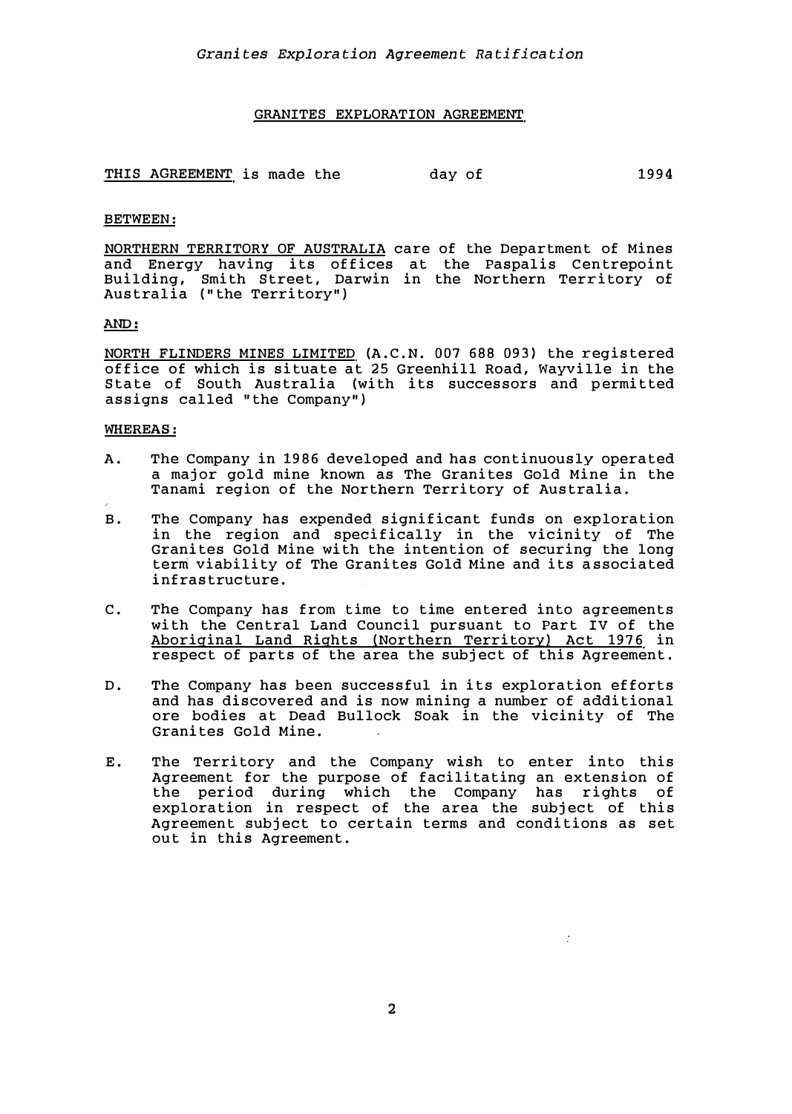#### GRANITES EXPLORATION AGREEMENT

THIS AGREEMENT is made the

day of 1994

#### BETWEEN:

NORTHERN TERRITORY OF AUSTRALIA care of the Department of Mines and Energy having its offices at the Paspalis Centrepoint Building, Smith Street, Darwin in the Northern Territory of Australia (" the Territory")

#### AND:

NORTH FLINDERS MINES LIMITED (A.C.N. 007 688 093) the registered office of which is situate at 25 Greenhill Road, Wayville in the State of South Australia (with its successors and permitted assigns called "the Company")

#### **WHEREAS:**

- A. The Company in 1986 developed and has continuously operated a major gold mine known as The Granites Gold Mine in the Tanami region of the Northern Territory of Australia.
- B. The Company has expended significant funds on exploration in the region and specifically in the vicinity of The Granites Gold Mine with the intention of securing the long term viability of The Granites Gold Mine and its associated infrastructure.
- C. The Company has from time to time entered into agreements with the Central Land Council pursuant to Part IV of the Aboriginal Land Rights (Northern Territory) Act 1976 in respect of parts of the area the subject of this Agreement.
- D. The Company has been successful in its exploration efforts and has discovered and is now mining a number of additional ore bodies at Dead Bullock Soak in the vicinity of The Granites Gold Mine.
- E. The Territory and the Company wish to enter into this Agreement for the purpose of facilitating an extension of the period during which the Company has rights of exploration in respect of the area the subject of this Agreement subject to certain terms and conditions as set out in this Agreement.

 $\frac{1}{\sqrt{2}}$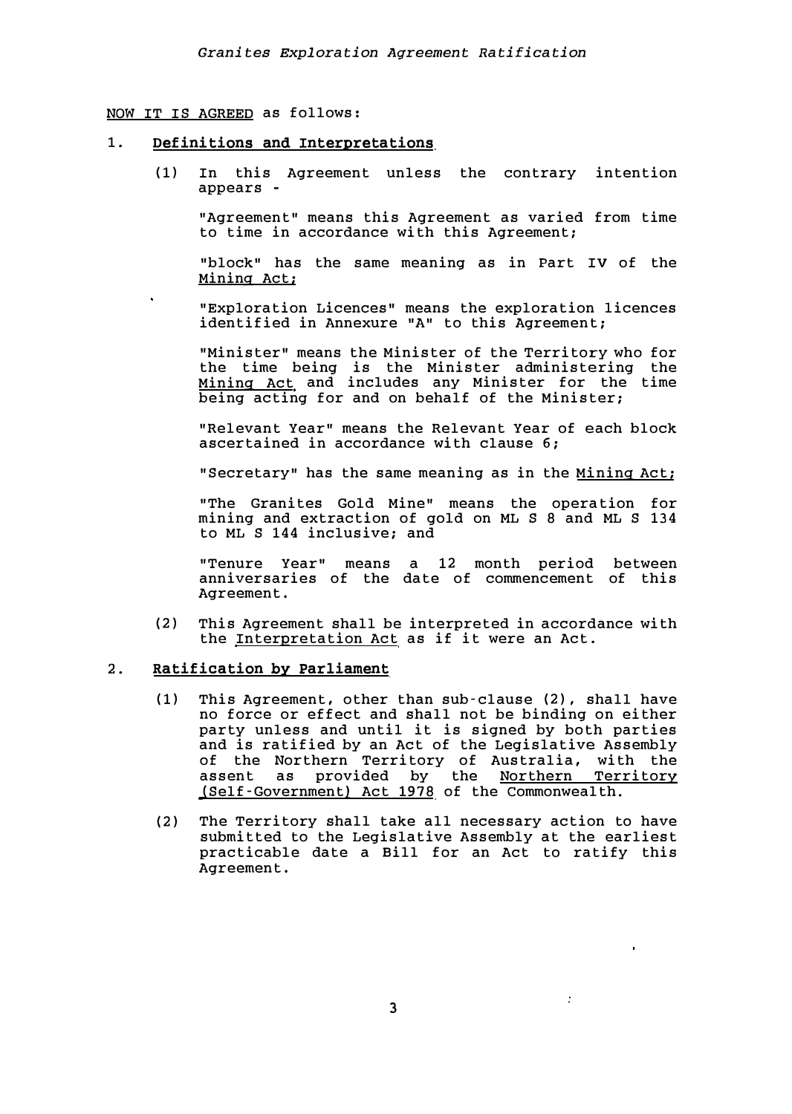NOW IT IS AGREED as follows:

#### **1. Definitions and Interpretations**

(1) In this Agreement unless the contrary intention appears

"Agreement" means this Agreement as varied from time to time in accordance with this Agreement;

"block" has the same meaning as in Part IV of the Mining Act;

"Exploration Licences" means the exploration licences identified in Annexure "A" to this Agreement;

"Minister" means the Minister of the Territory who for the time being is the Minister administering the Mining Act and includes any Minister for the time being acting for and on behalf of the Minister;

"Relevant Year" means the Relevant Year of each block ascertained in accordance with clause 6;

"Secretary" has the same meaning as in the Mining Act;

"The Granites Gold Mine" means the operation for mining and extraction of gold on ML S 8 and ML S 134 to ML S 144 inclusive; and

"Tenure Year" means a 12 month period between anniversaries of the date of commencement of this Agreement.

(2) This Agreement shall be interpreted in accordance with the Interpretation Act as if it were an Act.

#### **2. Ratification by Parliament**

- (1) This Agreement, other than sub-clause (2), shall have no force or effect and shall not be binding on either party unless and until it is signed by both parties and is ratified by an Act of the Legislative Assembly of the Northern Territory of Australia, with the assent as provided by the Northern Territory (Self-Government) Act 1978 of the Commonwealth.
- (2) The Territory shall take all necessary action to have submitted to the Legislative Assembly at the earliest practicable date a Bill for an Act to ratify this Agreement.

 $\hat{\mathcal{I}}$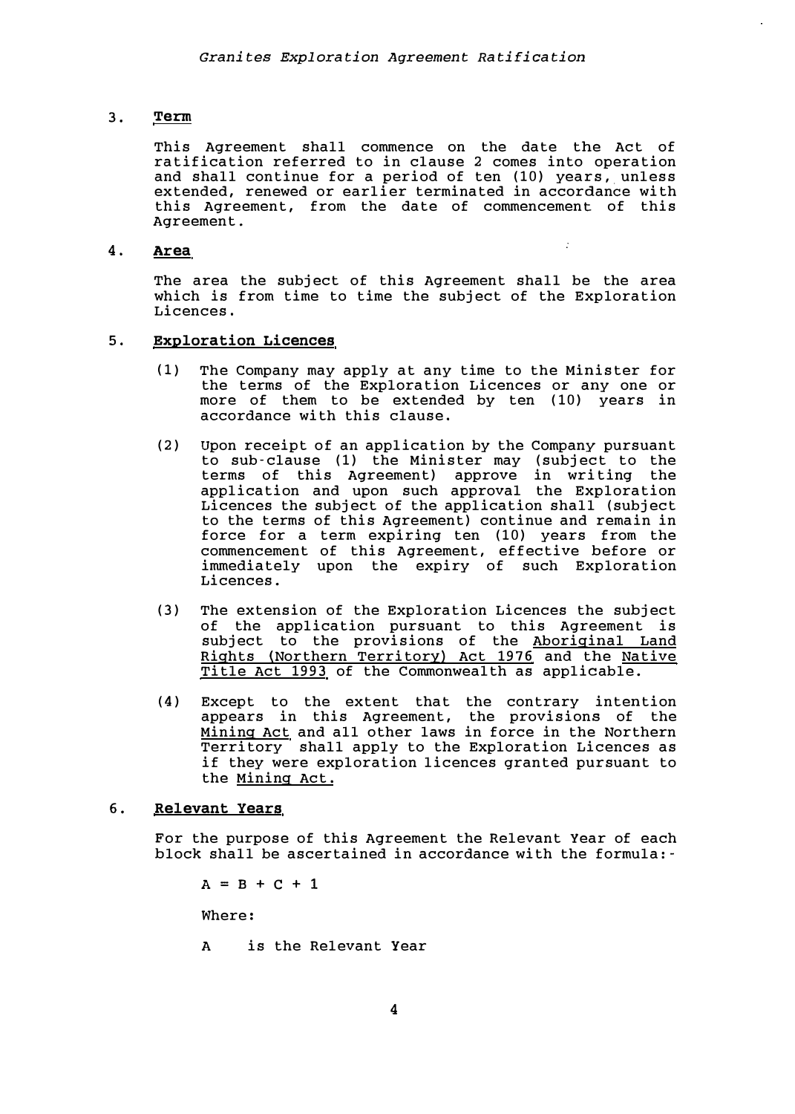#### **3. Term**

This Agreement shall commence on the date the Act of ratification referred to in clause 2 comes into operation and shall continue for a period of ten (10) years, unless extended, renewed or earlier terminated in accordance with this Agreement, from the date of commencement of this Agreement.

#### **4. Area**

The area the subject of this Agreement shall be the area which is from time to time the subject of the Exploration Licences.

 $\mathcal{I}$ 

#### **5. Exploration Licences**

- (1) The Company may apply at any time to the Minister for the terms of the Exploration Licences or any one or more of them to be extended by ten  $(10)$  years in accordance with this clause.
- (2) Upon receipt of an application by the Company pursuant to sub-clause (1) the Minister may (subject to the terms of this Agreement) approve in writing the application and upon such approval the Exploration Licences the subject of the application shall (subject to the terms of this Agreement) continue and remain in force for a term expiring ten (10) years from the commencement of this Agreement, effective before or immediately upon the expiry of such Exploration Licences.
- (3) The extension of the Exploration Licences the subject of the application pursuant to this Agreement is subject to the provisions of the Aboriginal Land Rights (Northern Territory) Act 1976 and the Native Title Act 1993 of the Commonwealth as applicable.
- (4) Except to the extent that the contrary intention appears in this Agreement, the provisions of the Mining Act and all other laws in force in the Northern Territory shall apply to the Exploration Licences as if they were exploration licences granted pursuant to the Mining Act.

#### 6. **Relevant Years**

For the purpose of this Agreement the Relevant Year of each block shall be ascertained in accordance with the formula:-

 $A = B + C + 1$ 

Where:

A is the Relevant Year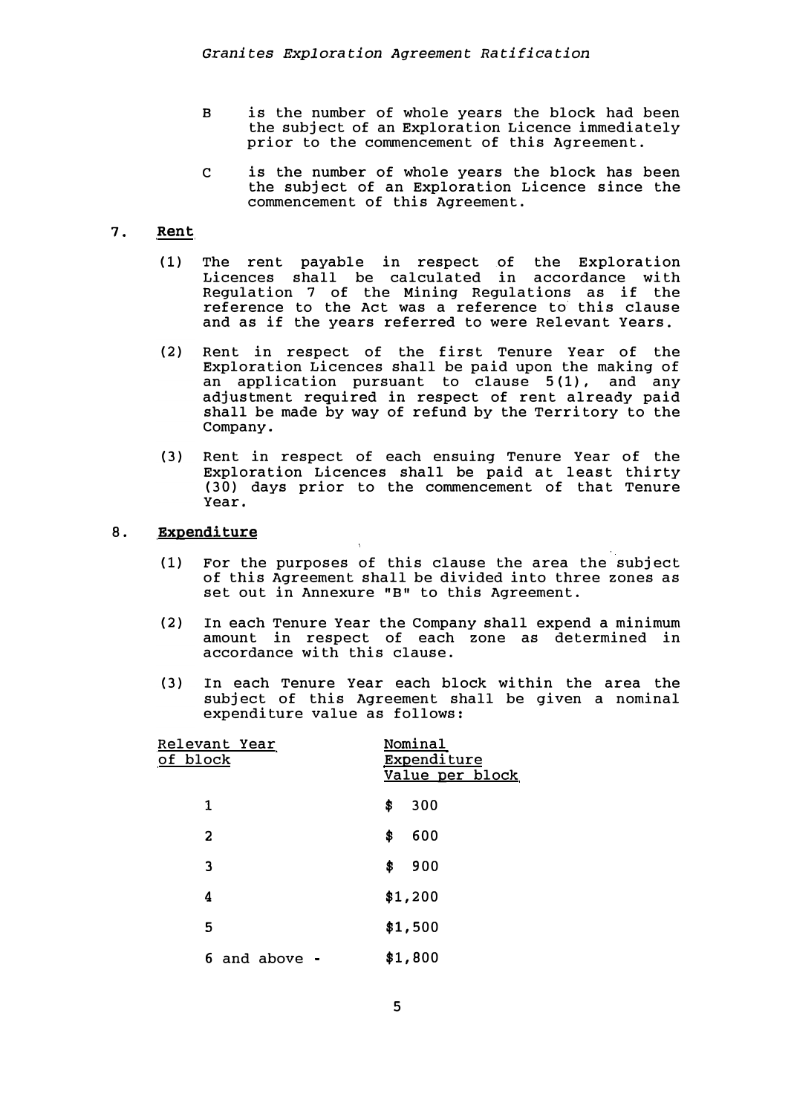- B is the number of whole years the block had been the subject of an Exploration Licence immediately prior to the commencement of this Agreement.
- C is the number of whole years the block has been the subject of an Exploration Licence since the commencement of this Agreement.

#### **7. Rent**

- (1) The rent payable in respect of the Exploration Licences shall be calculated in accordance with Regulation 7 of the Mining Regulations as if the reference to the Act was a reference to this clause and as if the years referred to were Relevant Years.
- (2) Rent in respect of the first Tenure Year of the Exploration Licences shall be paid upon the making of an application pursuant to clause 5(1), and any adjustment required in respect of rent already paid shall be made by way of refund by the Territory to the Company.
- (3) Rent in respect of each ensuing Tenure Year of the Exploration Licences shall be paid at least thirty (30) days prior to the commencement of that Tenure Year.

#### **8. Expenditure**

- (1) For the purposes of this clause the area the subject of this Agreement shall be divided into three zones as set out in Annexure "B" to this Agreement.
- (2) In each Tenure Year the Company shall expend a minimum amount in respect of each zone as determined in accordance with this clause.
- (3) In each Tenure Year each block within the area the subject of this Agreement shall be given a nominal expenditure value as follows:

| <u>Relevant Year</u><br>of block | <u>Nominal</u><br>Expenditure<br>Value per block |
|----------------------------------|--------------------------------------------------|
| 1                                | 300<br>\$                                        |
| 2                                | 600<br>\$                                        |
| 3                                | 900<br>\$                                        |
| 4                                | \$1,200                                          |
| 5                                | \$1,500                                          |
| 6 and above                      | \$1,800                                          |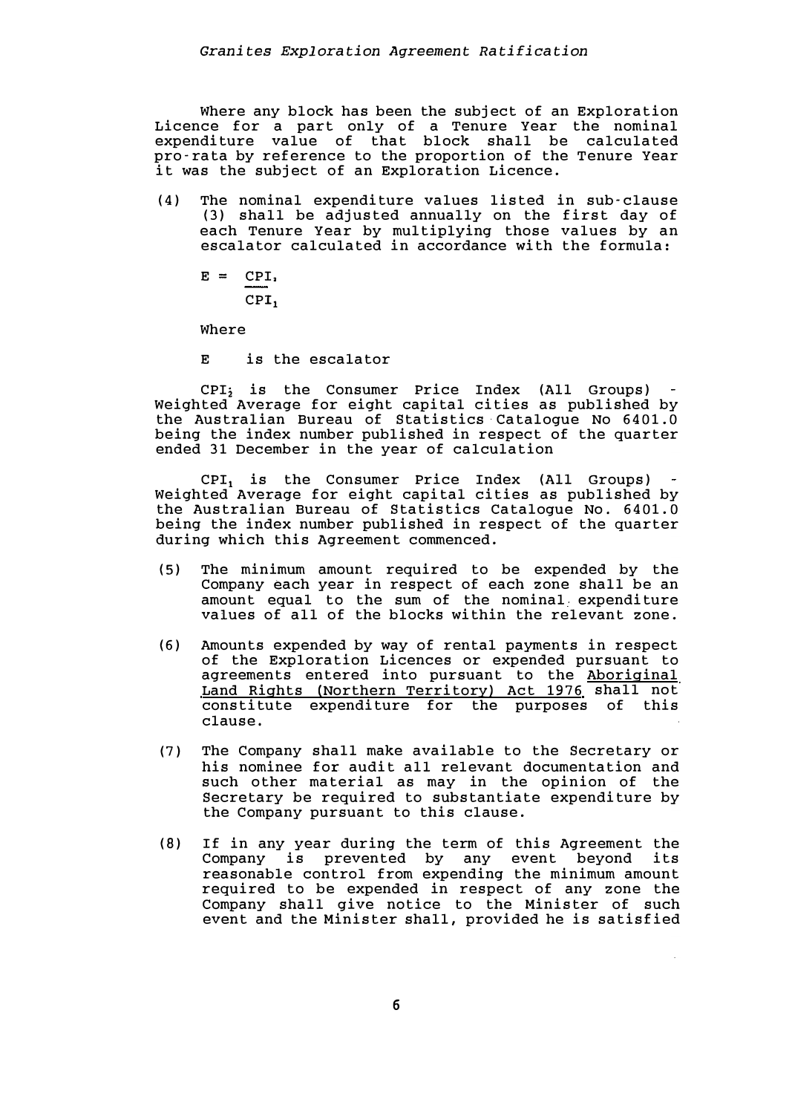Where any block has been the subject of an Exploration Licence for a part only of a Tenure Year the nominal expenditure value of that block shall be calculated pro-rata by reference to the proportion of the Tenure Year it was the subject of an Exploration Licence.

(4) The nominal expenditure values listed in sub-clause (3) shall be adjusted annually on the first day of each Tenure Year by multiplying those values by an escalator calculated in accordance with the formula:

 $E = CPI$ ,

CPI,

Where

E is the escalator

CPI2 is the Consumer Price Index (All Groups) Weighted Average for eight capital cities as published by the Australian Bureau of Statistics Catalogue No 6401.0 being the index number published in respect of the quarter ended 31 December in the year of calculation

CPI**1** is the Consumer Price Index (All Groups) Weighted Average for eight capital cities as published by the Australian Bureau of Statistics Catalogue No. 6401.0 being the index number published in respect of the quarter during which this Agreement commenced.

- (5) The minimum amount required to be expended by the Company each year in respect of each zone shall be an amount equal to the sum of the nominal expenditure values of all of the blocks within the relevant zone.
- (6) Amounts expended by way of rental payments in respect of the Exploration Licences or expended pursuant to agreements entered into pursuant to the <u>Aboriginal</u> Land Rights (Northern Territory) Act 1976 shall not constitute expenditure for the purposes of this clause.
- (7) The Company shall make available to the Secretary or his nominee for audit all relevant documentation and such other material as may in the opinion of the Secretary be required to substantiate expenditure by the Company pursuant to this clause.
- (8) If in any year during the term of this Agreement the Company is prevented by any event beyond its reasonable control from expending the minimum amount required to be expended in respect of any zone the Company shall give notice to the Minister of such event and the Minister shall, provided he is satisfied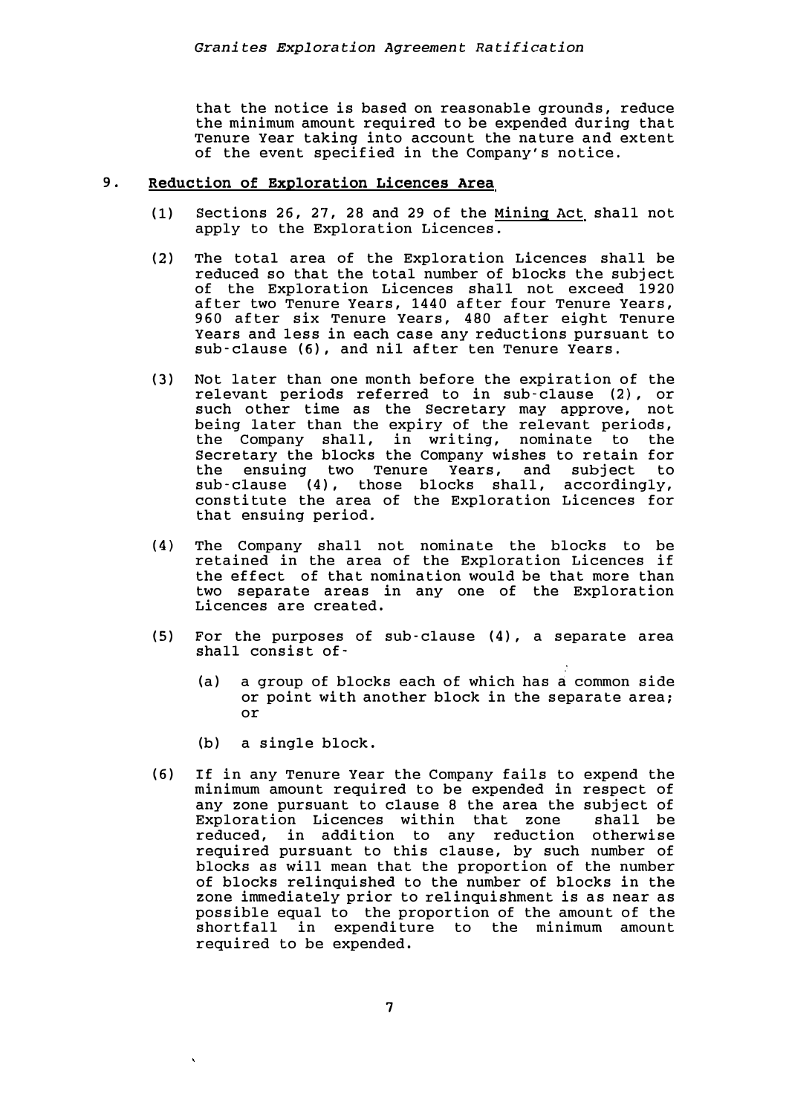that the notice is based on reasonable grounds, reduce the minimum amount required to be expended during that Tenure Year taking into account the nature and extent of the event specified in the Company's notice.

#### **9. Reduction of Exploration Licences Area**

- (1) Sections 26, 27, 28 and 29 of the Mining Act shall not apply to the Exploration Licences.
- **(2)** The total area of the Exploration Licences shall be reduced so that the total number of blocks the subject of the Exploration Licences shall not exceed 1920 after two Tenure Years, 1440 after four Tenure Years, 960 after six Tenure Years, 480 after eight Tenure Years and less in each case any reductions pursuant to sub-clause **(6),** and nil after ten Tenure Years.
- **(3)** Not later than one month before the expiration of the relevant periods referred to in sub-clause **(2),** or such other time as the Secretary may approve, not being later than the expiry of the relevant periods, the Company shall, in writing, nominate to the Secretary the blocks the Company wishes to retain for<br>the ensuing two Tenure Years, and subject to the ensuing two Tenure Years, and subject sub-clause **(4),** those blocks shall, accordingly, constitute the area of the Exploration Licences for that ensuing period.
- **(4)** The Company shall not nominate the blocks to be retained in the area of the Exploration Licences if the effect of that nomination would be that more than two separate areas in any one of the Exploration Licences are created.
- **(5)** For the purposes of sub-clause **(4),** a separate area shall consist of-
	- (a) a group of blocks each of which has a common side or point with another block in the separate area; or
	- (b) a single block.

 $\ddot{\phantom{a}}$ 

(6) If in any Tenure Year the Company fails to expend the minimum amount required to be expended in respect of any zone pursuant to clause 8 the area the subject of Exploration Licences within that zone reduced, in addition to any reduction otherwise required pursuant to this clause, by such number of blocks as will mean that the proportion of the number of blocks relinquished to the number of blocks in the zone immediately prior to relinquishment is as near as possible equal to the proportion of the amount of the shortfall in expenditure to the minimum amount required to be expended.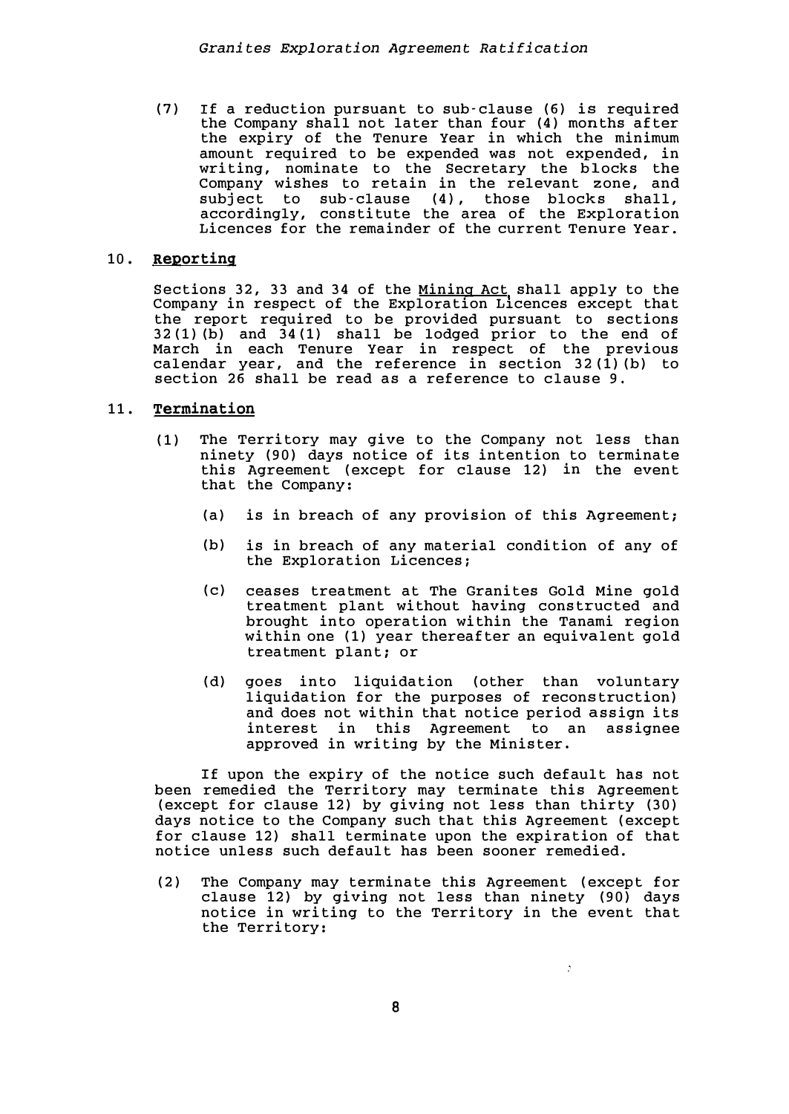(7) If a reduction pursuant to sub-clause (6) is required the Company shall not later than four (4) months after the expiry of the Tenure Year in which the minimum amount required to be expended was not expended, in writing, nominate to the Secretary the blocks the Company wishes to retain in the relevant zone, and subject to sub-clause (4), those blocks shall, accordingly, constitute the area of the Exploration Licences for the remainder of the current Tenure Year.

#### 10. **Reporting**

Sections 32, 33 and 34 of the <u>Mining Act</u> shall apply to the Company in respect of the Exploration Licences except that the report required to be provided pursuant to sections 32(1) (b) and 34(1) shall be lodged prior to the end of March in each Tenure Year in respect of the previous calendar year, and the reference in section 32 (1) (b) to section 26 shall be read as a reference to clause 9.

#### 11 . **Termination**

- (1) The Territory may give to the Company not less than ninety (90) days notice of its intention to terminate this Agreement (except for clause 12) in the event that the Company:
	- (a) is in breach of any provision of this Agreement;
	- (b) is in breach of any material condition of any of the Exploration Licences;
	- (c) ceases treatment at The Granites Gold Mine gold treatment plant without having constructed and brought into operation within the Tanami region within one (1) year thereafter an equivalent gold treatment plant; or
	- (d) goes into liquidation (other than voluntary liquidation for the purposes of reconstruction) and does not within that notice period assign its interest in this Agreement to an assignee approved in writing by the Minister.

If upon the expiry of the notice such default has not been remedied the Territory may terminate this Agreement (except for clause 12) by giving not less than thirty (30) days notice to the Company such that this Agreement (except for clause 12) shall terminate upon the expiration of that notice unless such default has been sooner remedied.

(2) The Company may terminate this Agreement (except for clause 12) by giving not less than ninety (90) days notice in writing to the Territory in the event that the Territory:

 $\ddot{\cdot}$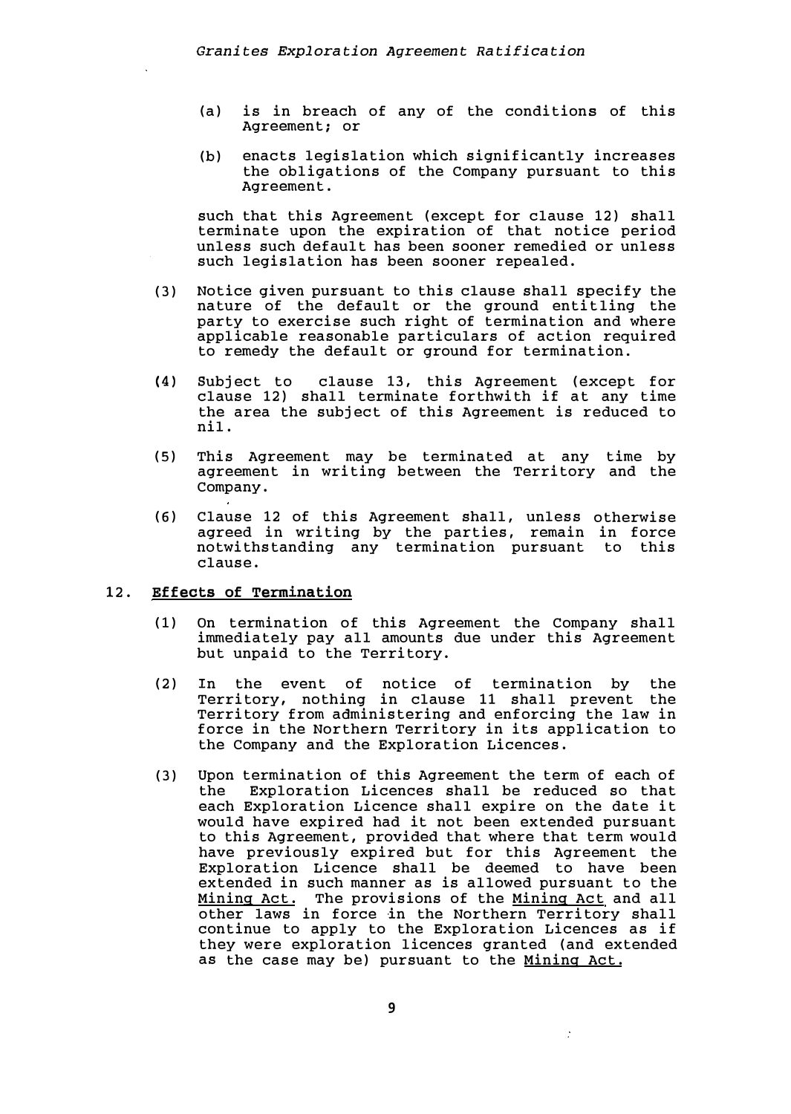- (a) is in breach of any of the conditions of this Agreement; or
- (b) enacts legislation which significantly increases the obligations of the Company pursuant to this Agreement.

such that this Agreement (except for clause 12) shall terminate upon the expiration of that notice period unless such default has been sooner remedied or unless such legislation has been sooner repealed.

- (3) Notice given pursuant to this clause shall specify the nature of the default or the ground entitling the party to exercise such right of termination and where applicable reasonable particulars of action required to remedy the default or ground for termination.
- **(4)** Subject to clause **13,** this Agreement (except for clause 12) shall terminate forthwith if at any time the area the subject of this Agreement is reduced to nil.
- (5) This Agreement may be terminated at any time by agreement in writing between the Territory and the Company.
- (6) Clause 12 of this Agreement shall, unless otherwise agreed in writing by the parties, remain in force notwithstanding any termination pursuant to this clause.

#### 12. **Effects of Termination**

- (1) On termination of this Agreement the Company shall immediately pay all amounts due under this Agreement but unpaid to the Territory.
- (2) In the event of notice of termination by the Territory, nothing in clause 11 shall prevent the Territory from administering and enforcing the law in force in the Northern Territory in its application to the Company and the Exploration Licences.
- (3) Upon termination of this Agreement the term of each of<br>the Exploration Licences shall be reduced so that Exploration Licences shall be reduced so that each Exploration Licence shall expire on the date it would have expired had it not been extended pursuant to this Agreement, provided that where that term would have previously expired but for this Agreement the Exploration Licence shall be deemed to have been extended in such manner as is allowed pursuant to the Mining Act. The provisions of the Mining Act and all other laws in force in the Northern Territory shall continue to apply to the Exploration Licences as if they were exploration licences granted (and extended as the case may be) pursuant to the Mining Act.

 $\mathcal{L}$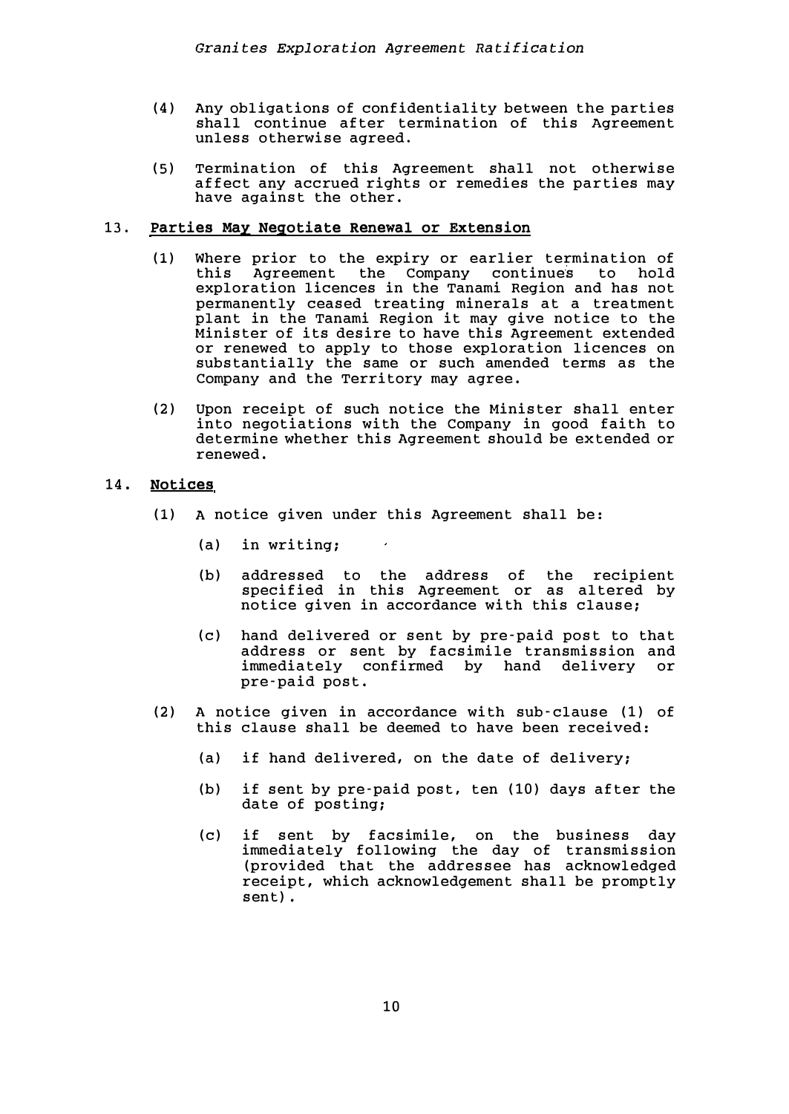- (4) Any obligations of confidentiality between the parties shall continue after termination of this Agreement unless otherwise agreed.
- (5) Termination of this Agreement shall not otherwise affect any accrued rights or remedies the parties may have against the other.

#### 13. **Parties May Negotiate Renewal or Extension**

- (1) Where prior to the expiry or earlier termination of this Agreement the Company continues to hold exploration licences in the Tanami Region and has not permanently ceased treating minerals at a treatment plant in the Tanami Region it may give notice to the Minister of its desire to have this Agreement extended or renewed to apply to those exploration licences on substantially the same or such amended terms as the Company and the Territory may agree.
- (2) Upon receipt of such notice the Minister shall enter into negotiations with the Company in good faith to determine whether this Agreement should be extended or renewed.

### 14. **Notices**

- (1) A notice given under this Agreement shall be: à.
	- (a) in writing;
	- (b) addressed to the address of the recipient specified in this Agreement or as altered by notice given in accordance with this clause;
	- (c) hand delivered or sent by pre-paid post to that address or sent by facsimile transmission and immediately confirmed by hand delivery or pre-paid post.
- (2) A notice given in accordance with sub-clause (1) of this clause shall be deemed to have been received:
	- (a) if hand delivered, on the date of delivery;
	- (b) if sent by pre-paid post, ten (10) days after the date of posting;
	- (c) if sent by facsimile, on the business day immediately following the day of transmission (provided that the addressee has acknowledged receipt, which acknowledgement shall be promptly sent).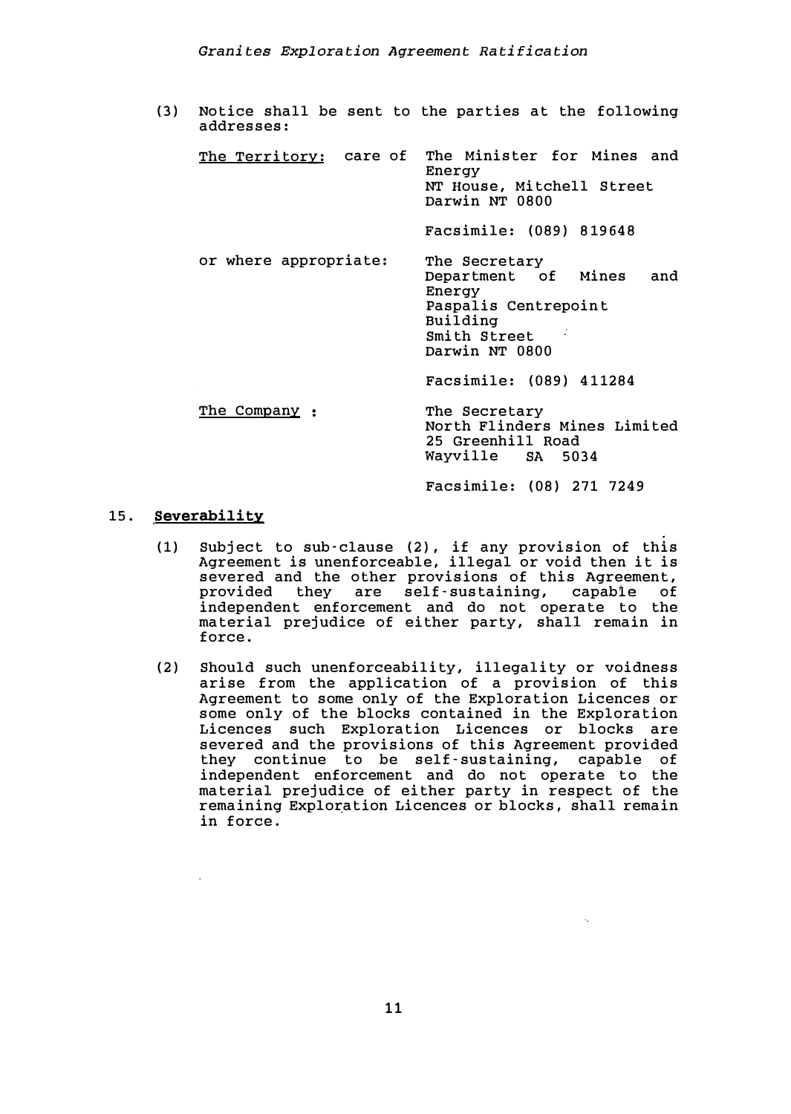(3) Notice shall be sent to the parties at the following addresses: The Territory: care of The Minister for Mines and Energy or where appropriate: The Company : NT House, Mitchell Street Darwin NT 0800 Facsimile: (089) 819648 The Secretary Department of Mines Energy Paspalis Centrepoint Building Smith Street Darwin NT 0800 Facsimile: ( 089) 411284 The Secretary and North Flinders Mines Limited 25 Greenhill Road Wayville SA 5034

Facsimile: (08) 271 7249

#### 15. **Severability**

- (1) Subject to sub-clause (2), if any provision of this Agreement is unenforceable, illegal or void then it is severed and the other provisions of this Agreement, provided they are self-sustaining, capabie of independent enforcement and do not operate to the material prejudice of either party, shall remain in force.
- (2) Should such unenforceability, illegality or voidness arise from the application of a provision of this Agreement to some only of the Exploration Licences or some only of the blocks contained in the Exploration Licences such Exploration Licences or blocks are severed and the provisions of this Agreement provided they continue to be self-sustaining, capable of independent enforcement and do not operate to the material prejudice of either party in respect of the remaining Explo�ation Licences or blocks, shall remain in force.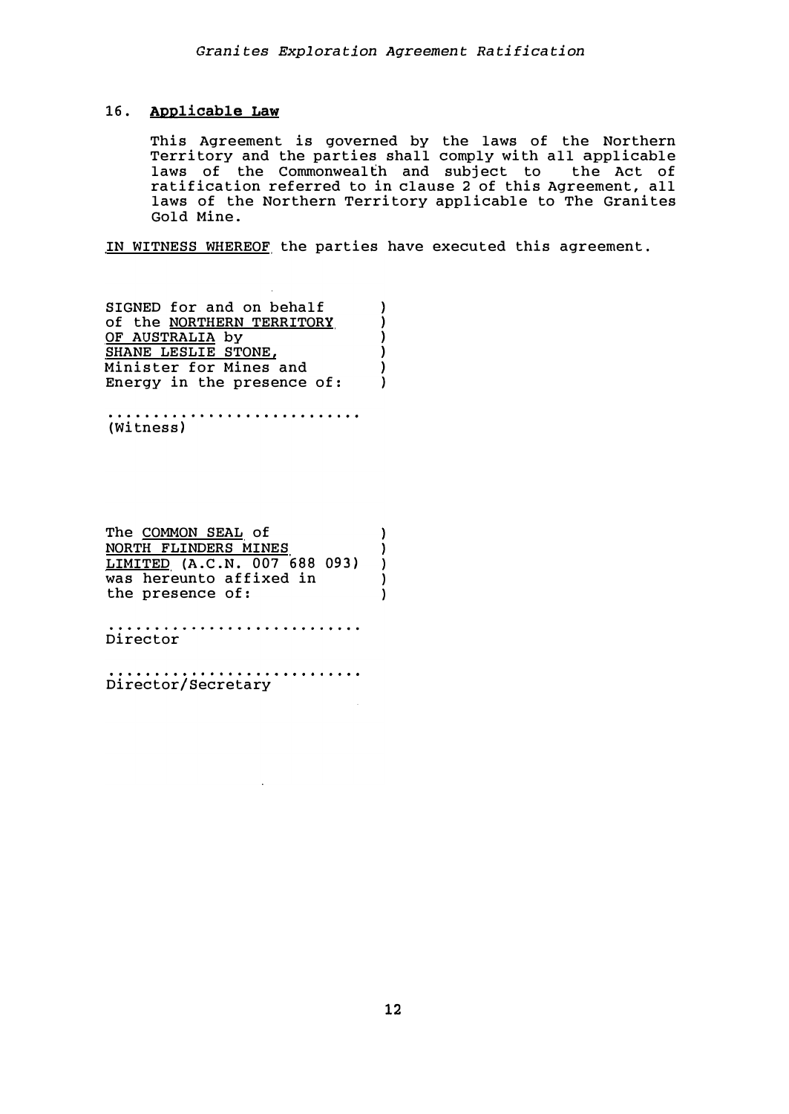#### 16. **Applicable Law**

This Agreement is governed by the laws of the Northern Territory and the parties shall comply with all applicable laws of the Commonwealth and subject to the Act of ratification referred to in clause 2 of this Agreement, all laws of the Northern Territory applicable to The Granites Gold Mine.

IN WITNESS WHEREOF the parties have executed this agreement.

 $\lambda$ )  $\lambda$  $\lambda$  $\lambda$ 

).

 $\lambda$  $\lambda$  $\mathbf{I}$ 

SIGNED for and on behalf of the NORTHERN TERRITORY OF AUSTRALIA by SHANE LESLIE STONE, Minister for Mines and Energy in the presence of: Δ. (Witness)

The COMMON SEAL of NORTH FLINDERS MINES LIMITED (A.C.N. 007 688 093) was hereunto affixed in the presence of:

Director

Director/Secretary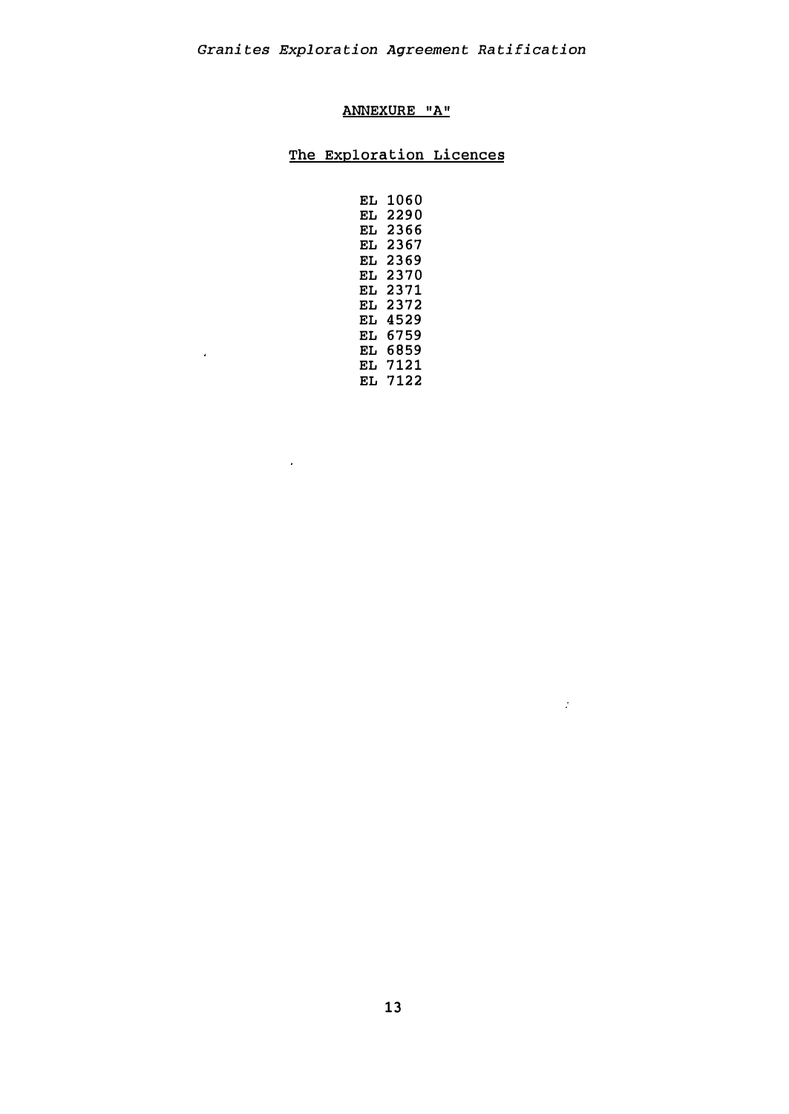## **ANNEXURE "A"**

## **The Exploration Licences**

| ЕL | 1060 |
|----|------|
| ЕL | 2290 |
| ЕL | 2366 |
| ЕL | 2367 |
| ЕL | 2369 |
| ЕL | 2370 |
| ЕL | 2371 |
| ЕL | 2372 |
| EL | 4529 |
| ЕL | 6759 |
| ЕL | 6859 |
| EL | 7121 |
| ЕL | 7122 |
|    |      |

 $\sim 100$ 

 $\sim 10^{11}$  km  $^{-1}$ 

 $\sim 200$